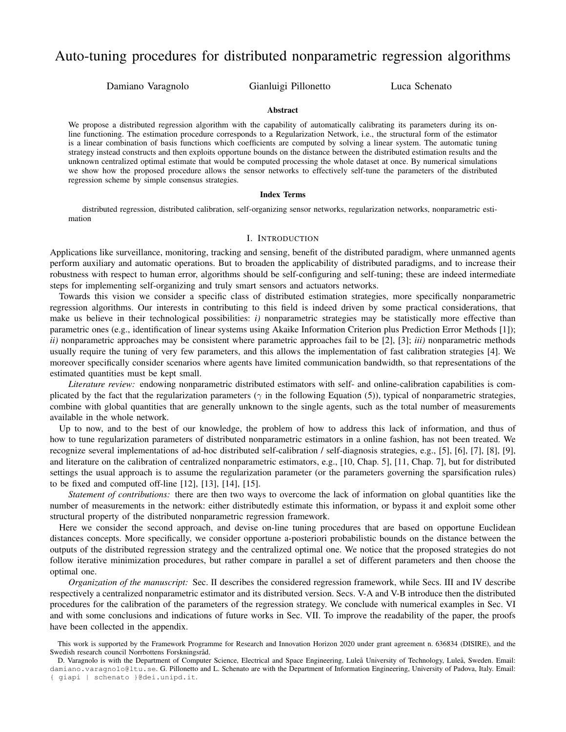# Auto-tuning procedures for distributed nonparametric regression algorithms

Damiano Varagnolo Gianluigi Pillonetto Luca Schenato

#### Abstract

We propose a distributed regression algorithm with the capability of automatically calibrating its parameters during its online functioning. The estimation procedure corresponds to a Regularization Network, i.e., the structural form of the estimator is a linear combination of basis functions which coefficients are computed by solving a linear system. The automatic tuning strategy instead constructs and then exploits opportune bounds on the distance between the distributed estimation results and the unknown centralized optimal estimate that would be computed processing the whole dataset at once. By numerical simulations we show how the proposed procedure allows the sensor networks to effectively self-tune the parameters of the distributed regression scheme by simple consensus strategies.

#### Index Terms

distributed regression, distributed calibration, self-organizing sensor networks, regularization networks, nonparametric estimation

#### I. INTRODUCTION

Applications like surveillance, monitoring, tracking and sensing, benefit of the distributed paradigm, where unmanned agents perform auxiliary and automatic operations. But to broaden the applicability of distributed paradigms, and to increase their robustness with respect to human error, algorithms should be self-configuring and self-tuning; these are indeed intermediate steps for implementing self-organizing and truly smart sensors and actuators networks.

Towards this vision we consider a specific class of distributed estimation strategies, more specifically nonparametric regression algorithms. Our interests in contributing to this field is indeed driven by some practical considerations, that make us believe in their technological possibilities: *i)* nonparametric strategies may be statistically more effective than parametric ones (e.g., identification of linear systems using Akaike Information Criterion plus Prediction Error Methods [1]); *ii)* nonparametric approaches may be consistent where parametric approaches fail to be [2], [3]; *iii)* nonparametric methods usually require the tuning of very few parameters, and this allows the implementation of fast calibration strategies [4]. We moreover specifically consider scenarios where agents have limited communication bandwidth, so that representations of the estimated quantities must be kept small.

*Literature review:* endowing nonparametric distributed estimators with self- and online-calibration capabilities is complicated by the fact that the regularization parameters ( $\gamma$  in the following Equation (5)), typical of nonparametric strategies, combine with global quantities that are generally unknown to the single agents, such as the total number of measurements available in the whole network.

Up to now, and to the best of our knowledge, the problem of how to address this lack of information, and thus of how to tune regularization parameters of distributed nonparametric estimators in a online fashion, has not been treated. We recognize several implementations of ad-hoc distributed self-calibration / self-diagnosis strategies, e.g., [5], [6], [7], [8], [9], and literature on the calibration of centralized nonparametric estimators, e.g., [10, Chap. 5], [11, Chap. 7], but for distributed settings the usual approach is to assume the regularization parameter (or the parameters governing the sparsification rules) to be fixed and computed off-line [12], [13], [14], [15].

*Statement of contributions:* there are then two ways to overcome the lack of information on global quantities like the number of measurements in the network: either distributedly estimate this information, or bypass it and exploit some other structural property of the distributed nonparametric regression framework.

Here we consider the second approach, and devise on-line tuning procedures that are based on opportune Euclidean distances concepts. More specifically, we consider opportune a-posteriori probabilistic bounds on the distance between the outputs of the distributed regression strategy and the centralized optimal one. We notice that the proposed strategies do not follow iterative minimization procedures, but rather compare in parallel a set of different parameters and then choose the optimal one.

*Organization of the manuscript:* Sec. II describes the considered regression framework, while Secs. III and IV describe respectively a centralized nonparametric estimator and its distributed version. Secs. V-A and V-B introduce then the distributed procedures for the calibration of the parameters of the regression strategy. We conclude with numerical examples in Sec. VI and with some conclusions and indications of future works in Sec. VII. To improve the readability of the paper, the proofs have been collected in the appendix.

This work is supported by the Framework Programme for Research and Innovation Horizon 2020 under grant agreement n. 636834 (DISIRE), and the Swedish research council Norrbottens Forskningsråd.

D. Varagnolo is with the Department of Computer Science, Electrical and Space Engineering, Luleå University of Technology, Luleå, Sweden. Email: damiano.varagnolo@ltu.se. G. Pillonetto and L. Schenato are with the Department of Information Engineering, University of Padova, Italy. Email: { giapi | schenato }@dei.unipd.it.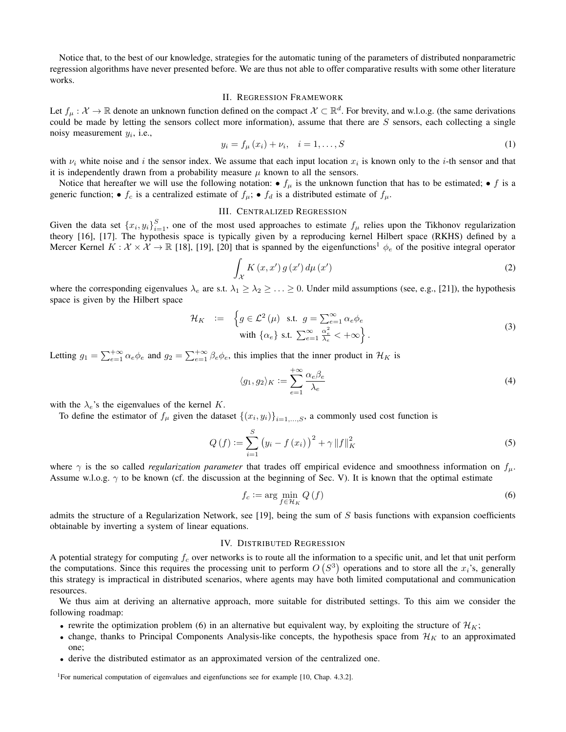Notice that, to the best of our knowledge, strategies for the automatic tuning of the parameters of distributed nonparametric regression algorithms have never presented before. We are thus not able to offer comparative results with some other literature works.

## II. REGRESSION FRAMEWORK

Let  $f_\mu: \mathcal{X} \to \mathbb{R}$  denote an unknown function defined on the compact  $\mathcal{X} \subset \mathbb{R}^d$ . For brevity, and w.l.o.g. (the same derivations could be made by letting the sensors collect more information), assume that there are  $S$  sensors, each collecting a single noisy measurement  $y_i$ , i.e.,

$$
y_i = f_{\mu}(x_i) + \nu_i, \quad i = 1, ..., S
$$
 (1)

with  $\nu_i$  white noise and i the sensor index. We assume that each input location  $x_i$  is known only to the i-th sensor and that it is independently drawn from a probability measure  $\mu$  known to all the sensors.

Notice that hereafter we will use the following notation:  $\bullet$   $f_{\mu}$  is the unknown function that has to be estimated;  $\bullet$  f is a generic function;  $\bullet$   $f_c$  is a centralized estimate of  $f_{\mu}$ ;  $\bullet$   $f_d$  is a distributed estimate of  $f_{\mu}$ .

# III. CENTRALIZED REGRESSION

Given the data set  $\{x_i, y_i\}_{i=1}^S$ , one of the most used approaches to estimate  $f_\mu$  relies upon the Tikhonov regularization theory [16], [17]. The hypothesis space is typically given by a reproducing kernel Hilbert space (RKHS) defined by a Mercer Kernel  $K : \mathcal{X} \times \mathcal{X} \to \mathbb{R}$  [18], [19], [20] that is spanned by the eigenfunctions<sup>1</sup>  $\phi_e$  of the positive integral operator

$$
\int_{\mathcal{X}} K(x, x') g(x') d\mu(x')
$$
\n(2)

where the corresponding eigenvalues  $\lambda_e$  are s.t.  $\lambda_1 \geq \lambda_2 \geq \ldots \geq 0$ . Under mild assumptions (see, e.g., [21]), the hypothesis space is given by the Hilbert space

$$
\mathcal{H}_K := \left\{ g \in \mathcal{L}^2(\mu) \text{ s.t. } g = \sum_{e=1}^{\infty} \alpha_e \phi_e \right\}
$$
  
with  $\{\alpha_e\}$  s.t.  $\sum_{e=1}^{\infty} \frac{\alpha_e^2}{\lambda_e} < +\infty \right\}.$  (3)

Letting  $g_1 = \sum_{e=1}^{+\infty} \alpha_e \phi_e$  and  $g_2 = \sum_{e=1}^{+\infty} \beta_e \phi_e$ , this implies that the inner product in  $\mathcal{H}_K$  is

$$
\langle g_1, g_2 \rangle_K := \sum_{e=1}^{+\infty} \frac{\alpha_e \beta_e}{\lambda_e} \tag{4}
$$

with the  $\lambda_e$ 's the eigenvalues of the kernel K.

To define the estimator of  $f_{\mu}$  given the dataset  $\{(x_i, y_i)\}_{i=1,\dots,S}$ , a commonly used cost function is

$$
Q\left(f\right) := \sum_{i=1}^{S} \left(y_i - f\left(x_i\right)\right)^2 + \gamma \|f\|_{K}^2
$$
\n(5)

where  $\gamma$  is the so called *regularization parameter* that trades off empirical evidence and smoothness information on  $f_\mu$ . Assume w.l.o.g.  $\gamma$  to be known (cf. the discussion at the beginning of Sec. V). It is known that the optimal estimate

$$
f_c := \arg\min_{f \in \mathcal{H}_K} Q(f) \tag{6}
$$

admits the structure of a Regularization Network, see [19], being the sum of  $S$  basis functions with expansion coefficients obtainable by inverting a system of linear equations.

## IV. DISTRIBUTED REGRESSION

A potential strategy for computing  $f_c$  over networks is to route all the information to a specific unit, and let that unit perform the computations. Since this requires the processing unit to perform  $O(S^3)$  operations and to store all the  $x_i$ 's, generally this strategy is impractical in distributed scenarios, where agents may have both limited computational and communication resources.

We thus aim at deriving an alternative approach, more suitable for distributed settings. To this aim we consider the following roadmap:

- rewrite the optimization problem (6) in an alternative but equivalent way, by exploiting the structure of  $\mathcal{H}_K$ ;
- change, thanks to Principal Components Analysis-like concepts, the hypothesis space from  $\mathcal{H}_K$  to an approximated one;
- derive the distributed estimator as an approximated version of the centralized one.

<sup>1</sup>For numerical computation of eigenvalues and eigenfunctions see for example [10, Chap. 4.3.2].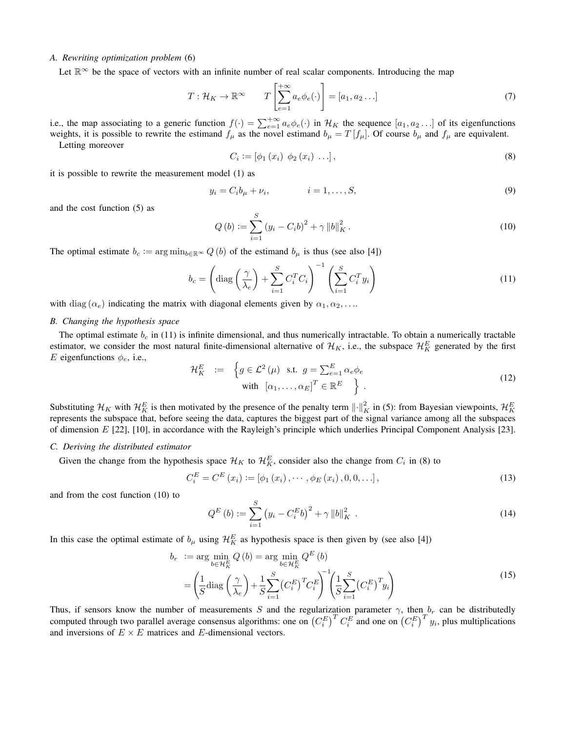# *A. Rewriting optimization problem* (6)

Let  $\mathbb{R}^{\infty}$  be the space of vectors with an infinite number of real scalar components. Introducing the map

$$
T: \mathcal{H}_K \to \mathbb{R}^\infty \qquad T\left[\sum_{e=1}^{+\infty} a_e \phi_e(\cdot)\right] = [a_1, a_2 \dots]
$$
\n<sup>(7)</sup>

i.e., the map associating to a generic function  $f(\cdot) = \sum_{e=1}^{+\infty} a_e \phi_e(\cdot)$  in  $\mathcal{H}_K$  the sequence  $[a_1, a_2 \dots]$  of its eigenfunctions weights, it is possible to rewrite the estimand  $f_\mu$  as the novel estimand  $b_\mu = T[f_\mu]$ . Of course  $b_\mu$  and  $f_\mu$  are equivalent.

Letting moreover

$$
C_i := [\phi_1(x_i) \ \phi_2(x_i) \ \dots], \tag{8}
$$

it is possible to rewrite the measurement model (1) as

$$
y_i = C_i b_\mu + \nu_i, \qquad i = 1, \dots, S,
$$
\n<sup>(9)</sup>

and the cost function (5) as

$$
Q(b) := \sum_{i=1}^{S} (y_i - C_i b)^2 + \gamma ||b||_K^2.
$$
 (10)

The optimal estimate  $b_c := \arg \min_{b \in \mathbb{R}^\infty} Q(b)$  of the estimand  $b_\mu$  is thus (see also [4])

$$
b_c = \left(\text{diag}\left(\frac{\gamma}{\lambda_e}\right) + \sum_{i=1}^{S} C_i^T C_i\right)^{-1} \left(\sum_{i=1}^{S} C_i^T y_i\right)
$$
\n(11)

with diag  $(\alpha_e)$  indicating the matrix with diagonal elements given by  $\alpha_1, \alpha_2, \ldots$ 

#### *B. Changing the hypothesis space*

The optimal estimate  $b_c$  in (11) is infinite dimensional, and thus numerically intractable. To obtain a numerically tractable estimator, we consider the most natural finite-dimensional alternative of  $\mathcal{H}_K$ , i.e., the subspace  $\mathcal{H}_K^E$  generated by the first E eigenfunctions  $\phi_e$ , i.e.,

$$
\mathcal{H}_K^E := \left\{ g \in \mathcal{L}^2(\mu) \text{ s.t. } g = \sum_{e=1}^E \alpha_e \phi_e \right\}
$$
\nwith  $[\alpha_1, \dots, \alpha_E]^T \in \mathbb{R}^E$  (12)

Substituting  $\mathcal{H}_K$  with  $\mathcal{H}_K^E$  is then motivated by the presence of the penalty term  $\left\|\cdot\right\|_K^2$  in (5): from Bayesian viewpoints,  $\mathcal{H}_K^E$ represents the subspace that, before seeing the data, captures the biggest part of the signal variance among all the subspaces of dimension E [22], [10], in accordance with the Rayleigh's principle which underlies Principal Component Analysis [23].

## *C. Deriving the distributed estimator*

Given the change from the hypothesis space  $\mathcal{H}_K$  to  $\mathcal{H}_K^E$ , consider also the change from  $C_i$  in (8) to

$$
C_i^E = C^E(x_i) := [\phi_1(x_i), \cdots, \phi_E(x_i), 0, 0, \ldots],
$$
\n(13)

and from the cost function (10) to

$$
Q^{E}\left(b\right) := \sum_{i=1}^{S} \left(y_i - C_i^{E} b\right)^2 + \gamma \left\|b\right\|_{K}^{2} \tag{14}
$$

In this case the optimal estimate of  $b_{\mu}$  using  $\mathcal{H}_K^E$  as hypothesis space is then given by (see also [4])

$$
b_r := \arg\min_{b \in \mathcal{H}_K^E} Q(b) = \arg\min_{b \in \mathcal{H}_K^E} Q^E(b)
$$
  
= 
$$
\left(\frac{1}{S} \text{diag}\left(\frac{\gamma}{\lambda_e}\right) + \frac{1}{S} \sum_{i=1}^S \left(C_i^E\right)^T C_i^E\right)^{-1} \left(\frac{1}{S} \sum_{i=1}^S \left(C_i^E\right)^T y_i\right)
$$
 (15)

Thus, if sensors know the number of measurements S and the regularization parameter  $\gamma$ , then  $b_r$  can be distributedly computed through two parallel average consensus algorithms: one on  $(C_i^E)^T C_i^E$  and one on  $(C_i^E)^T y_i$ , plus multiplications and inversions of  $E \times E$  matrices and E-dimensional vectors.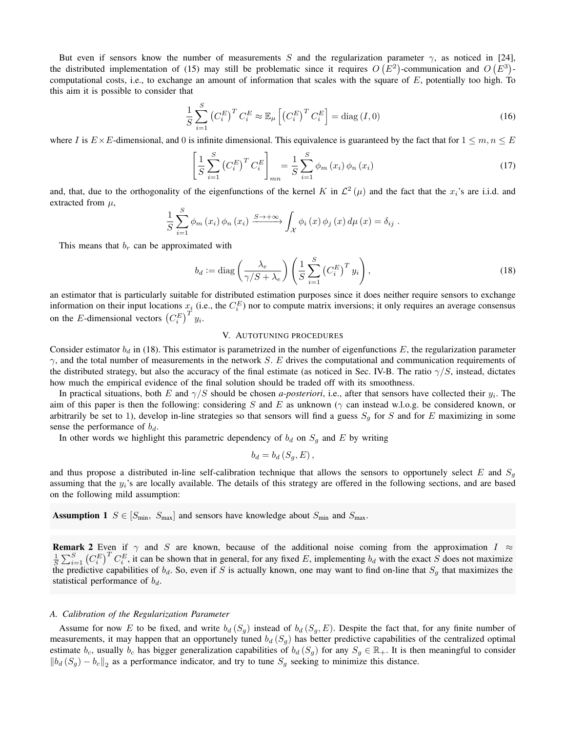But even if sensors know the number of measurements S and the regularization parameter  $\gamma$ , as noticed in [24], the distributed implementation of (15) may still be problematic since it requires  $O(E^2)$ -communication and  $O(E^3)$ computational costs, i.e., to exchange an amount of information that scales with the square of  $E$ , potentially too high. To this aim it is possible to consider that

$$
\frac{1}{S} \sum_{i=1}^{S} \left( C_i^E \right)^T C_i^E \approx \mathbb{E}_{\mu} \left[ \left( C_i^E \right)^T C_i^E \right] = \text{diag} \left( I, 0 \right) \tag{16}
$$

where I is  $E \times E$ -dimensional, and 0 is infinite dimensional. This equivalence is guaranteed by the fact that for  $1 \leq m, n \leq E$ 

$$
\left[\frac{1}{S}\sum_{i=1}^{S}\left(C_i^E\right)^T C_i^E\right]_{mn} = \frac{1}{S}\sum_{i=1}^{S} \phi_m\left(x_i\right) \phi_n\left(x_i\right)
$$
\n(17)

and, that, due to the orthogonality of the eigenfunctions of the kernel K in  $\mathcal{L}^2(\mu)$  and the fact that the  $x_i$ 's are i.i.d. and extracted from  $\mu$ ,

$$
\frac{1}{S} \sum_{i=1}^{S} \phi_m(x_i) \phi_n(x_i) \xrightarrow{S \to +\infty} \int_{\mathcal{X}} \phi_i(x) \phi_j(x) d\mu(x) = \delta_{ij}.
$$

This means that  $b_r$  can be approximated with

$$
b_d := \text{diag}\left(\frac{\lambda_e}{\gamma/S + \lambda_e}\right) \left(\frac{1}{S} \sum_{i=1}^S \left(C_i^E\right)^T y_i\right),\tag{18}
$$

an estimator that is particularly suitable for distributed estimation purposes since it does neither require sensors to exchange information on their input locations  $x_i$  (i.e., the  $C_i^E$ ) nor to compute matrix inversions; it only requires an average consensus on the *E*-dimensional vectors  $(C_i^E)^T y_i$ .

## V. AUTOTUNING PROCEDURES

Consider estimator  $b_d$  in (18). This estimator is parametrized in the number of eigenfunctions E, the regularization parameter  $\gamma$ , and the total number of measurements in the network S. E drives the computational and communication requirements of the distributed strategy, but also the accuracy of the final estimate (as noticed in Sec. IV-B. The ratio  $\gamma/S$ , instead, dictates how much the empirical evidence of the final solution should be traded off with its smoothness.

In practical situations, both E and  $\gamma/S$  should be chosen *a-posteriori*, i.e., after that sensors have collected their  $y_i$ . The aim of this paper is then the following: considering S and E as unknown ( $\gamma$  can instead w.l.o.g. be considered known, or arbitrarily be set to 1), develop in-line strategies so that sensors will find a guess  $S_q$  for S and for E maximizing in some sense the performance of  $b_d$ .

In other words we highlight this parametric dependency of  $b_d$  on  $S_g$  and E by writing

$$
b_d = b_d\left(S_g, E\right),
$$

and thus propose a distributed in-line self-calibration technique that allows the sensors to opportunely select  $E$  and  $S_q$ assuming that the  $y_i$ 's are locally available. The details of this strategy are offered in the following sections, and are based on the following mild assumption:

**Assumption 1**  $S \in [S_{\text{min}}, S_{\text{max}}]$  and sensors have knowledge about  $S_{\text{min}}$  and  $S_{\text{max}}$ .

**Remark 2** Even if  $\gamma$  and S are known, because of the additional noise coming from the approximation I  $\approx$  $\frac{1}{S}\sum_{i=1}^{S} (C_i^E)^T C_i^E$ , it can be shown that in general, for any fixed E, implementing  $b_d$  with the exact S does not maximize the predictive capabilities of  $b_d$ . So, even if S is actually known, one may want to find on-line that  $S_g$  that maximizes the statistical performance of  $b_d$ .

#### *A. Calibration of the Regularization Parameter*

Assume for now E to be fixed, and write  $b_d$  ( $S_q$ ) instead of  $b_d$  ( $S_q$ , E). Despite the fact that, for any finite number of measurements, it may happen that an opportunely tuned  $b_d$  ( $S_g$ ) has better predictive capabilities of the centralized optimal estimate  $b_c$ , usually  $b_c$  has bigger generalization capabilities of  $b_d$  (S<sub>g</sub>) for any  $S_g \in \mathbb{R}_+$ . It is then meaningful to consider  $||b_d(S_g) - b_c||_2$  as a performance indicator, and try to tune  $S_g$  seeking to minimize this distance.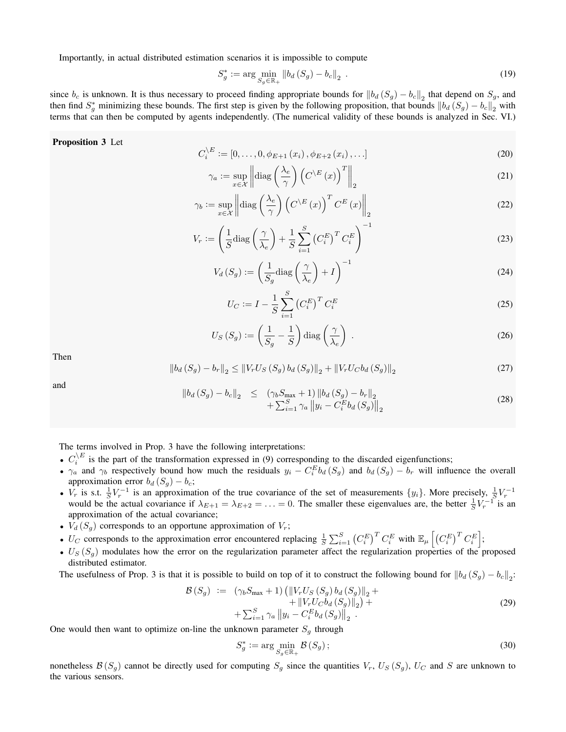Importantly, in actual distributed estimation scenarios it is impossible to compute

$$
S_g^* := \arg\min_{S_g \in \mathbb{R}_+} \|b_d(S_g) - b_c\|_2 \tag{19}
$$

since  $b_c$  is unknown. It is thus necessary to proceed finding appropriate bounds for  $||b_d(S_g) - b_c||_2$  that depend on  $S_g$ , and then find  $S_g^*$  minimizing these bounds. The first step is given by the following proposition, that bounds  $||b_d(S_g) - b_c||_2$  with terms that can then be computed by agents independently. (The numerical validity of these bounds is analyzed in Sec. VI.)

## Proposition 3 Let

$$
C_i^{\setminus E} := [0, \dots, 0, \phi_{E+1}(x_i), \phi_{E+2}(x_i), \dots]
$$
\n(20)

$$
\gamma_a := \sup_{x \in \mathcal{X}} \left\| \text{diag}\left(\frac{\lambda_e}{\gamma}\right) \left( C^{\backslash E}(x) \right)^T \right\|_2 \tag{21}
$$

$$
\gamma_b := \sup_{x \in \mathcal{X}} \left\| \text{diag}\left(\frac{\lambda_e}{\gamma}\right) \left( C^{\backslash E}(x) \right)^T C^E(x) \right\|_2 \tag{22}
$$

$$
V_r := \left(\frac{1}{S}\text{diag}\left(\frac{\gamma}{\lambda_e}\right) + \frac{1}{S}\sum_{i=1}^S \left(C_i^E\right)^T C_i^E\right)^{-1} \tag{23}
$$

$$
V_d(S_g) := \left(\frac{1}{S_g} \text{diag}\left(\frac{\gamma}{\lambda_e}\right) + I\right)^{-1} \tag{24}
$$

$$
U_C := I - \frac{1}{S} \sum_{i=1}^{S} \left( C_i^E \right)^T C_i^E \tag{25}
$$

$$
U_S(S_g) := \left(\frac{1}{S_g} - \frac{1}{S}\right) \text{diag}\left(\frac{\gamma}{\lambda_e}\right) \,. \tag{26}
$$

Then

$$
\|b_d(S_g) - b_r\|_2 \le \|V_r U_S(S_g) b_d(S_g)\|_2 + \|V_r U_C b_d(S_g)\|_2
$$
\n(27)

and

$$
\|b_d(S_g) - b_c\|_2 \le (\gamma_b S_{\text{max}} + 1) \|b_d(S_g) - b_r\|_2 + \sum_{i=1}^S \gamma_a \|y_i - C_i^E b_d(S_g)\|_2
$$
\n(28)

The terms involved in Prop. 3 have the following interpretations:

- $C_i^{\setminus E}$  is the part of the transformation expressed in (9) corresponding to the discarded eigenfunctions;
- $\gamma_a$  and  $\gamma_b$  respectively bound how much the residuals  $y_i C_i^E b_d(S_g)$  and  $b_d(S_g) b_r$  will influence the overall approximation error  $b_d$  ( $S_g$ ) –  $b_c$ ;
- $V_r$  is s.t.  $\frac{1}{S}V_r^{-1}$  is an approximation of the true covariance of the set of measurements  $\{y_i\}$ . More precisely,  $\frac{1}{S}V_r^{-1}$ would be the actual covariance if  $\lambda_{E+1} = \lambda_{E+2} = ... = 0$ . The smaller these eigenvalues are, the better  $\frac{1}{S}V_r^{-1}$  is an approximation of the actual covariance;
- $V_d(S_g)$  corresponds to an opportune approximation of  $V_r$ ;
- U<sub>C</sub> corresponds to the approximation error encountered replacing  $\frac{1}{S} \sum_{i=1}^{S} (C_i^E)^T C_i^E$  with  $\mathbb{E}_{\mu} \left[ (C_i^E)^T C_i^E \right]$ ;
- $U_S(S_q)$  modulates how the error on the regularization parameter affect the regularization properties of the proposed distributed estimator.

The usefulness of Prop. 3 is that it is possible to build on top of it to construct the following bound for  $||b_d(S_g) - b_c||_2$ :

$$
\mathcal{B}(S_g) := (\gamma_b S_{\text{max}} + 1) \left( \left\| V_r U_S (S_g) b_d (S_g) \right\|_2 \right) + \left\| V_r U_C b_d (S_g) \right\|_2 \right) + \sum_{i=1}^S \gamma_a \left\| y_i - C_i^E b_d (S_g) \right\|_2.
$$
\n(29)

One would then want to optimize on-line the unknown parameter  $S_g$  through

$$
S_g^* := \arg\min_{S_g \in \mathbb{R}_+} \mathcal{B}(S_g); \tag{30}
$$

nonetheless  $\mathcal{B}(S_g)$  cannot be directly used for computing  $S_g$  since the quantities  $V_r$ ,  $U_S(S_g)$ ,  $U_C$  and S are unknown to the various sensors.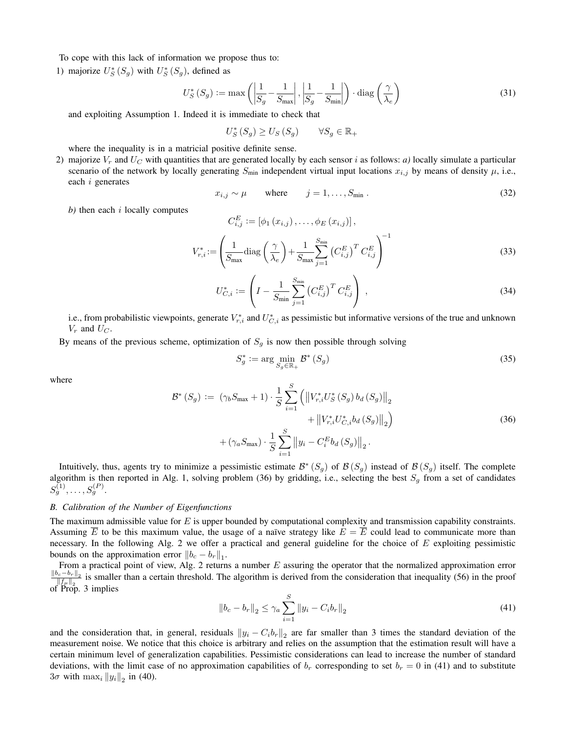To cope with this lack of information we propose thus to:

1) majorize  $U_S^*(S_g)$  with  $U_S^*(S_g)$ , defined as

$$
U_S^* \left( S_g \right) := \max \left( \left| \frac{1}{S_g} - \frac{1}{S_{\text{max}}} \right|, \left| \frac{1}{S_g} - \frac{1}{S_{\text{min}}} \right| \right) \cdot \text{diag} \left( \frac{\gamma}{\lambda_e} \right) \tag{31}
$$

and exploiting Assumption 1. Indeed it is immediate to check that

 $U_S^*(S_g) \ge U_S(S_g) \qquad \forall S_g \in \mathbb{R}_+$ 

where the inequality is in a matricial positive definite sense.

2) majorize  $V_r$  and  $U_C$  with quantities that are generated locally by each sensor i as follows: *a*) locally simulate a particular scenario of the network by locally generating  $S_{\text{min}}$  independent virtual input locations  $x_{i,j}$  by means of density  $\mu$ , i.e., each i generates

$$
x_{i,j} \sim \mu \qquad \text{where} \qquad j = 1, \dots, S_{\min} \,. \tag{32}
$$

*b)* then each i locally computes

$$
C_{i,j}^{E} := [\phi_1(x_{i,j}), \dots, \phi_E(x_{i,j})],
$$
  

$$
V_{r,i}^* := \left(\frac{1}{S_{\text{max}}}\text{diag}\left(\frac{\gamma}{\lambda_e}\right) + \frac{1}{S_{\text{max}}}\sum_{j=1}^{S_{\text{min}}} \left(C_{i,j}^E\right)^T C_{i,j}^E\right)^{-1}
$$
(33)

$$
U_{C,i}^{*} := \left( I - \frac{1}{S_{\min}} \sum_{j=1}^{S_{\min}} \left( C_{i,j}^{E} \right)^{T} C_{i,j}^{E} \right) , \qquad (34)
$$

i.e., from probabilistic viewpoints, generate  $V_{r,i}^*$  and  $U_{C,i}^*$  as pessimistic but informative versions of the true and unknown  $V_r$  and  $U_C$ .

By means of the previous scheme, optimization of  $S<sub>q</sub>$  is now then possible through solving

$$
S_g^* := \arg\min_{S_g \in \mathbb{R}_+} \mathcal{B}^*(S_g) \tag{35}
$$

where

$$
\mathcal{B}^*(S_g) := (\gamma_b S_{\text{max}} + 1) \cdot \frac{1}{S} \sum_{i=1}^S \left( \left\| V_{r,i}^* U_S^*(S_g) b_d(S_g) \right\|_2 + \left\| V_{r,i}^* U_{C,i}^* b_d(S_g) \right\|_2 \right) + (\gamma_a S_{\text{max}}) \cdot \frac{1}{S} \sum_{i=1}^S \left\| y_i - C_i^E b_d(S_g) \right\|_2.
$$
\n(36)

Intuitively, thus, agents try to minimize a pessimistic estimate  $B^*(S_g)$  of  $\mathcal{B}(S_g)$  instead of  $\mathcal{B}(S_g)$  itself. The complete algorithm is then reported in Alg. 1, solving problem (36) by gridding, i.e., selecting the best  $S_g$  from a set of candidates  $S_g^{(1)}, \ldots, S_g^{(P)}.$ 

# *B. Calibration of the Number of Eigenfunctions*

The maximum admissible value for  $E$  is upper bounded by computational complexity and transmission capability constraints. Assuming  $\overline{E}$  to be this maximum value, the usage of a naïve strategy like  $E = \overline{E}$  could lead to communicate more than necessary. In the following Alg. 2 we offer a practical and general guideline for the choice of  $E$  exploiting pessimistic bounds on the approximation error  $||b_c - b_r||_1$ .

From a practical point of view, Alg. 2 returns a number  $E$  assuring the operator that the normalized approximation error  $\left\Vert b_c-b_r\right\Vert _2$  $\frac{\partial e^{-\theta r} \|_2}{\|f_\mu\|_2}$  is smaller than a certain threshold. The algorithm is derived from the consideration that inequality (56) in the proof of Prop. 3 implies

$$
||b_c - b_r||_2 \le \gamma_a \sum_{i=1}^{S} ||y_i - C_i b_r||_2
$$
\n(41)

and the consideration that, in general, residuals  $||y_i - C_i b_r||_2$  are far smaller than 3 times the standard deviation of the measurement noise. We notice that this choice is arbitrary and relies on the assumption that the estimation result will have a certain minimum level of generalization capabilities. Pessimistic considerations can lead to increase the number of standard deviations, with the limit case of no approximation capabilities of  $b_r$  corresponding to set  $b_r = 0$  in (41) and to substitute  $3\sigma$  with  $\max_i \|y_i\|_2$  in (40).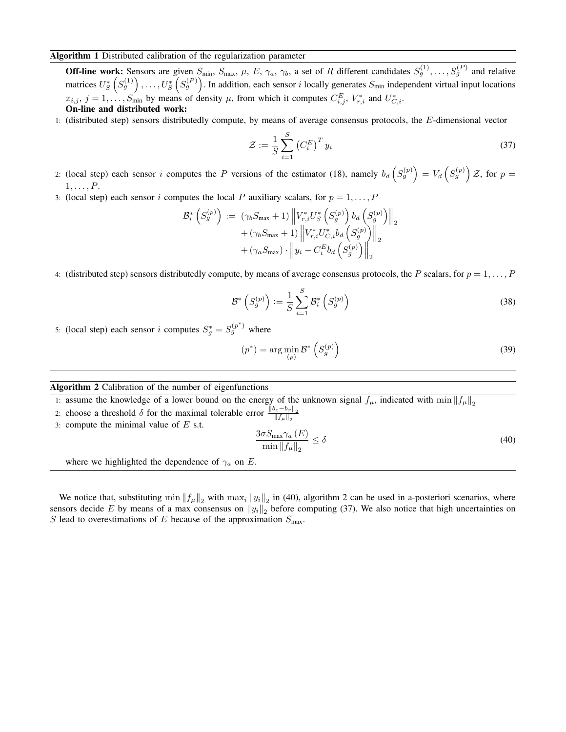# Algorithm 1 Distributed calibration of the regularization parameter

**Off-line work:** Sensors are given  $S_{\text{min}}$ ,  $S_{\text{max}}$ ,  $\mu$ ,  $E$ ,  $\gamma_a$ ,  $\gamma_b$ , a set of R different candidates  $S_g^{(1)}, \ldots, S_g^{(P)}$  and relative matrices  $U_S^*\left(S_g^{(1)}\right),\ldots,U_S^*\left(S_g^{(P)}\right)$ . In addition, each sensor i locally generates  $S_{\min}$  independent virtual input locations  $x_{i,j}, j = 1, \ldots, S_{\text{min}}$  by means of density  $\mu$ , from which it computes  $C_{i,j}^E$ ,  $V_{r,i}^*$  and  $U_{C,i}^*$ . On-line and distributed work:

1: (distributed step) sensors distributedly compute, by means of average consensus protocols, the E-dimensional vector

$$
\mathcal{Z} := \frac{1}{S} \sum_{i=1}^{S} \left( C_i^E \right)^T y_i \tag{37}
$$

- 2: (local step) each sensor i computes the P versions of the estimator (18), namely  $b_d ig( S_g^{(p)} \big) = V_d ig( S_g^{(p)} \big) \mathcal{Z}$ , for  $p =$  $1, \ldots, P$ .
- 3: (local step) each sensor i computes the local P auxiliary scalars, for  $p = 1, \ldots, P$

$$
\mathcal{B}_{i}^{*}\left(S_{g}^{(p)}\right) := \left.(\gamma_{b}S_{\max} + 1) \left\| V_{r,i}^{*}U_{S}^{*}\left(S_{g}^{(p)}\right) b_{d}\left(S_{g}^{(p)}\right) \right\|_{2} + (\gamma_{b}S_{\max} + 1) \left\| V_{r,i}^{*}U_{C,i}^{*}b_{d}\left(S_{g}^{(p)}\right) \right\|_{2} + (\gamma_{a}S_{\max}) \cdot \left\| y_{i} - C_{i}^{E}b_{d}\left(S_{g}^{(p)}\right) \right\|_{2}
$$

4: (distributed step) sensors distributedly compute, by means of average consensus protocols, the P scalars, for  $p = 1, \ldots, P$ 

$$
\mathcal{B}^* \left( S_g^{(p)} \right) := \frac{1}{S} \sum_{i=1}^S \mathcal{B}_i^* \left( S_g^{(p)} \right) \tag{38}
$$

5: (local step) each sensor i computes  $S_g^* = S_g^{(p^*)}$  where

$$
(p^*) = \arg\min_{(p)} \mathcal{B}^* \left( S_g^{(p)} \right) \tag{39}
$$

## Algorithm 2 Calibration of the number of eigenfunctions

1: assume the knowledge of a lower bound on the energy of the unknown signal  $f_\mu$ , indicated with min  $||f_\mu||_2$ 

- 2: choose a threshold  $\delta$  for the maximal tolerable error  $\frac{\|b_c-b_r\|_2}{\|f_\mu\|_2}$
- 3: compute the minimal value of  $E$  s.t.

$$
\frac{3\sigma S_{\max}\gamma_a\left(E\right)}{\min\left\|f_\mu\right\|_2} \le \delta\tag{40}
$$

where we highlighted the dependence of  $\gamma_a$  on E.

We notice that, substituting  $\min \|f_{\mu}\|_2$  with  $\max_i \|y_i\|_2$  in (40), algorithm 2 can be used in a-posteriori scenarios, where sensors decide E by means of a max consensus on  $||y_i||_2$  before computing (37). We also notice that high uncertainties on S lead to overestimations of E because of the approximation  $S_{\text{max}}$ .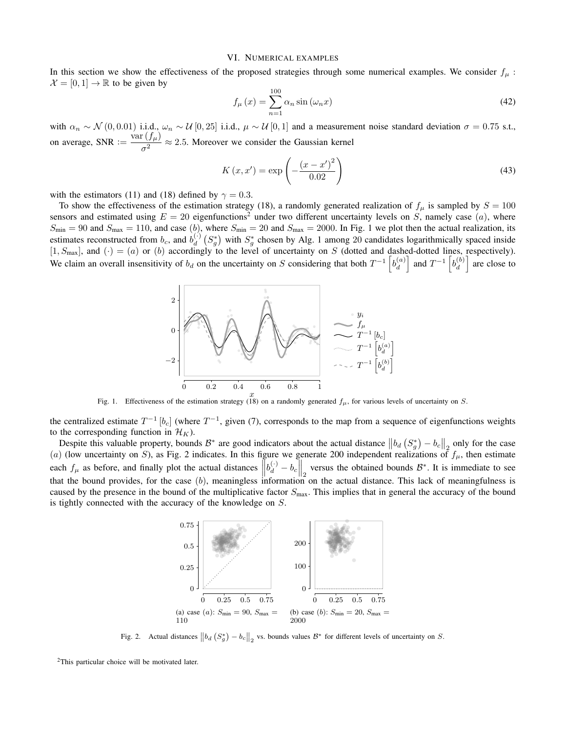#### VI. NUMERICAL EXAMPLES

In this section we show the effectiveness of the proposed strategies through some numerical examples. We consider  $f_\mu$ :  $\mathcal{X} = [0, 1] \rightarrow \mathbb{R}$  to be given by

$$
f_{\mu}\left(x\right) = \sum_{n=1}^{100} \alpha_n \sin\left(\omega_n x\right) \tag{42}
$$

with  $\alpha_n \sim \mathcal{N}(0, 0.01)$  i.i.d.,  $\omega_n \sim \mathcal{U}[0, 25]$  i.i.d.,  $\mu \sim \mathcal{U}[0, 1]$  and a measurement noise standard deviation  $\sigma = 0.75$  s.t., on average, SNR :=  $\frac{\text{var}(f_\mu)}{2}$  $\frac{(\sqrt{\mu})}{\sigma^2} \approx 2.5$ . Moreover we consider the Gaussian kernel

$$
K(x, x') = \exp\left(-\frac{(x - x')^{2}}{0.02}\right)
$$
\n(43)

with the estimators (11) and (18) defined by  $\gamma = 0.3$ .

To show the effectiveness of the estimation strategy (18), a randomly generated realization of  $f_\mu$  is sampled by  $S = 100$ sensors and estimated using  $E = 20$  eigenfunctions<sup>2</sup> under two different uncertainty levels on S, namely case (a), where  $S_{\text{min}} = 90$  and  $S_{\text{max}} = 110$ , and case  $(b)$ , where  $S_{\text{min}} = 20$  and  $S_{\text{max}} = 2000$ . In Fig. 1 we plot then the actual realization, its estimates reconstructed from  $b_c$ , and  $b_d^{(\cdot)}$   $(S_g^*)$  with  $S_g^*$  chosen by Alg. 1 among 20 candidates logarithmically spaced inside Estimates reconstructed from  $\theta_c$ , and  $\theta_d$  ( $\theta_g$ ) with  $\theta_g$  chosen by Aig. 1 among 20 candidates regardinates spaced inside [1,  $S_{\text{max}}$ ], and (·) = (a) or (b) accordingly to the level of uncertainty on S (dotted an We claim an overall insensitivity of  $b_d$  on the uncertainty on S considering that both  $T^{-1} \left[ b_d^{(a)} \right]$  $\begin{bmatrix} a \\ d \end{bmatrix}$  and  $T^{-1}$   $\begin{bmatrix} b_d^{(b)} \\ d \end{bmatrix}$  $\left\{\begin{array}{c} (b) \\ d \end{array}\right\}$  are close to



Fig. 1. Effectiveness of the estimation strategy (18) on a randomly generated  $f_{\mu}$ , for various levels of uncertainty on S.

the centralized estimate  $T^{-1}[b_c]$  (where  $T^{-1}$ , given (7), corresponds to the map from a sequence of eigenfunctions weights to the corresponding function in  $\mathcal{H}_K$ ).

Despite this valuable property, bounds  $\mathcal{B}^*$  are good indicators about the actual distance  $||b_d(S_g^*) - b_c||_2$  only for the case (a) (low uncertainty on S), as Fig. 2 indicates. In this figure we generate 200 independent realizations of  $f_{\mu}$ , then estimate each  $f_{\mu}$  as before, and finally plot the actual distances  $\left\| b_d^{(\cdot)} - b_c \right\|_2$  versus the obtained bounds  $\mathcal{B}^*$ . It is immediate to see that the bound provides, for the case  $(b)$ , meaningless information on the actual distance. This lack of meaningfulness is caused by the presence in the bound of the multiplicative factor  $S_{\text{max}}$ . This implies that in general the accuracy of the bound is tightly connected with the accuracy of the knowledge on S.



Fig. 2. Actual distances  $\left\|b_d\left(S_g^*\right)-b_c\right\|_2$  vs. bounds values  $\mathcal{B}^*$  for different levels of uncertainty on S.

<sup>&</sup>lt;sup>2</sup>This particular choice will be motivated later.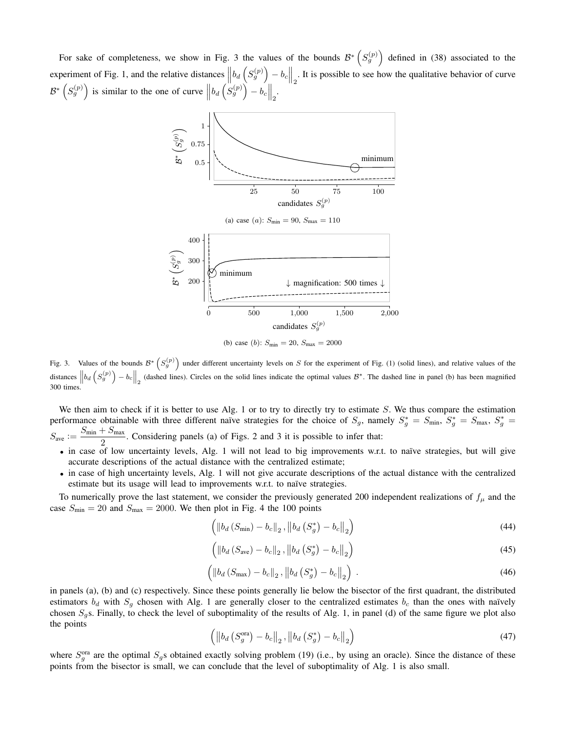For sake of completeness, we show in Fig. 3 the values of the bounds  $\mathcal{B}^*\left(S_g^{(p)}\right)$  defined in (38) associated to the experiment of Fig. 1, and the relative distances  $||b_d(S_g^{(p)}) - b_c||_2$ . It is possible to see how the qualitative behavior of curve  $\mathcal{B}^* \left( S_g^{(p)} \right)$  is similar to the one of curve  $\left\| b_d \left( S_g^{(p)} \right) - b_c \right\|_2$ .



(b) case (b):  $S_{\text{min}} = 20$ ,  $S_{\text{max}} = 2000$ 

Fig. 3. Values of the bounds  $\mathcal{B}^*\left(S_g^{(p)}\right)$  under different uncertainty levels on S for the experiment of Fig. (1) (solid lines), and relative values of the distances  $\left\|b_d\left(S_g^{(p)}\right) - b_c\right\|_2$  (dashed lines). Circles on the solid lines indicate the optimal values  $\mathcal{B}^*$ . The dashed line in panel (b) has been magnified 300 times.

We then aim to check if it is better to use Alg. 1 or to try to directly try to estimate  $S$ . We thus compare the estimation performance obtainable with three different naïve strategies for the choice of  $S_g$ , namely  $S_g^* = S_{min}$ ,  $S_g^* = S_{max}$ ,  $S_g^* = S_{max}$  $S_{\text{ave}} := \frac{S_{\text{min}} + S_{\text{max}}}{2}$  $\frac{2}{2}$ . Considering panels (a) of Figs. 2 and 3 it is possible to infer that:

- in case of low uncertainty levels, Alg. 1 will not lead to big improvements w.r.t. to naïve strategies, but will give accurate descriptions of the actual distance with the centralized estimate;
- in case of high uncertainty levels, Alg. 1 will not give accurate descriptions of the actual distance with the centralized estimate but its usage will lead to improvements w.r.t. to naïve strategies.

To numerically prove the last statement, we consider the previously generated 200 independent realizations of  $f_\mu$  and the case  $S_{\text{min}} = 20$  and  $S_{\text{max}} = 2000$ . We then plot in Fig. 4 the 100 points

$$
\left( \left\| b_d \left( S_{\min} \right) - b_c \right\|_2, \left\| b_d \left( S_g^* \right) - b_c \right\|_2 \right) \tag{44}
$$

$$
\left( \left\| b_d \left( S_{\text{ave}} \right) - b_c \right\|_2, \left\| b_d \left( S_g^* \right) - b_c \right\|_2 \right) \tag{45}
$$

$$
\left( \|b_d \left( S_{\text{max}} \right) - b_c \|_2, \left\| b_d \left( S_g^* \right) - b_c \right\|_2 \right) \tag{46}
$$

in panels (a), (b) and (c) respectively. Since these points generally lie below the bisector of the first quadrant, the distributed estimators  $b_d$  with  $S_g$  chosen with Alg. 1 are generally closer to the centralized estimates  $b_c$  than the ones with naïvely chosen  $S_g$ s. Finally, to check the level of suboptimality of the results of Alg. 1, in panel (d) of the same figure we plot also the points

$$
\left( \left\| b_d \left( S_g^{\text{ora}} \right) - b_c \right\|_2, \left\| b_d \left( S_g^* \right) - b_c \right\|_2 \right) \tag{47}
$$

where  $S_g^{\text{ora}}$  are the optimal  $S_g$ s obtained exactly solving problem (19) (i.e., by using an oracle). Since the distance of these points from the bisector is small, we can conclude that the level of suboptimality of Alg. 1 is also small.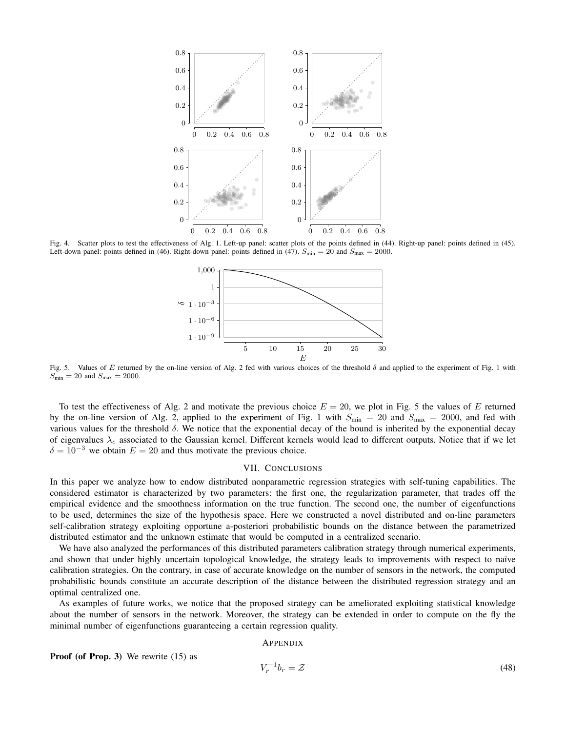

Fig. 4. Scatter plots to test the effectiveness of Alg. 1. Left-up panel: scatter plots of the points defined in (44). Right-up panel: points defined in (45). Left-down panel: points defined in (46). Right-down panel: points defined in (47).  $S_{\text{min}} = 20$  and  $S_{\text{max}} = 2000$ .



Fig. 5. Values of E returned by the on-line version of Alg. 2 fed with various choices of the threshold  $\delta$  and applied to the experiment of Fig. 1 with  $S_{\text{min}} = 20$  and  $S_{\text{max}} = 2000$ .

To test the effectiveness of Alg. 2 and motivate the previous choice  $E = 20$ , we plot in Fig. 5 the values of E returned by the on-line version of Alg. 2, applied to the experiment of Fig. 1 with  $S_{\text{min}} = 20$  and  $S_{\text{max}} = 2000$ , and fed with various values for the threshold δ. We notice that the exponential decay of the bound is inherited by the exponential decay of eigenvalues  $\lambda_e$  associated to the Gaussian kernel. Different kernels would lead to different outputs. Notice that if we let  $\delta = 10^{-3}$  we obtain  $E = 20$  and thus motivate the previous choice.

# VII. CONCLUSIONS

In this paper we analyze how to endow distributed nonparametric regression strategies with self-tuning capabilities. The considered estimator is characterized by two parameters: the first one, the regularization parameter, that trades off the empirical evidence and the smoothness information on the true function. The second one, the number of eigenfunctions to be used, determines the size of the hypothesis space. Here we constructed a novel distributed and on-line parameters self-calibration strategy exploiting opportune a-posteriori probabilistic bounds on the distance between the parametrized distributed estimator and the unknown estimate that would be computed in a centralized scenario.

We have also analyzed the performances of this distributed parameters calibration strategy through numerical experiments, and shown that under highly uncertain topological knowledge, the strategy leads to improvements with respect to naïve calibration strategies. On the contrary, in case of accurate knowledge on the number of sensors in the network, the computed probabilistic bounds constitute an accurate description of the distance between the distributed regression strategy and an optimal centralized one.

As examples of future works, we notice that the proposed strategy can be ameliorated exploiting statistical knowledge about the number of sensors in the network. Moreover, the strategy can be extended in order to compute on the fly the minimal number of eigenfunctions guaranteeing a certain regression quality.

# APPENDIX

Proof (of Prop. 3) We rewrite (15) as

$$
V_r^{-1}b_r = \mathcal{Z} \tag{48}
$$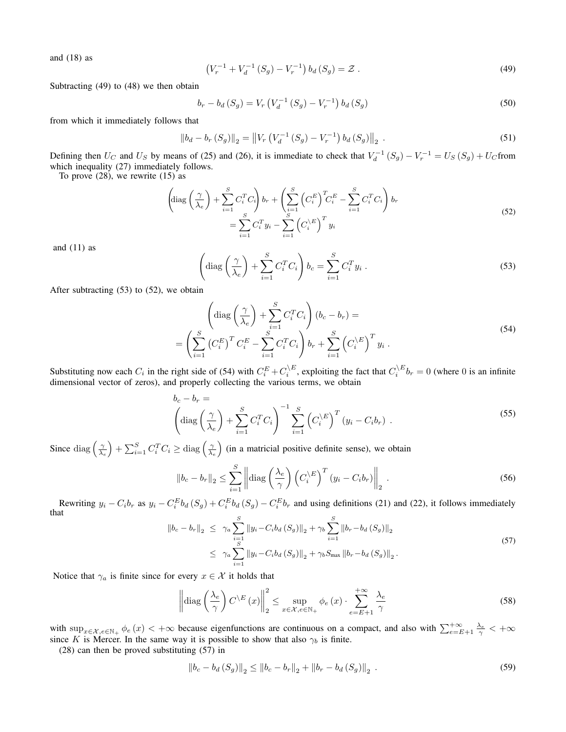and  $(18)$  as

$$
\left(V_r^{-1} + V_d^{-1} \left( S_g \right) - V_r^{-1} \right) b_d \left( S_g \right) = \mathcal{Z} \tag{49}
$$

Subtracting (49) to (48) we then obtain

$$
b_r - b_d(S_g) = V_r \left( V_d^{-1} (S_g) - V_r^{-1} \right) b_d(S_g)
$$
\n<sup>(50)</sup>

from which it immediately follows that

$$
\|b_d - b_r(S_g)\|_2 = \|V_r\left(V_d^{-1}(S_g) - V_r^{-1}\right)b_d(S_g)\|_2.
$$
\n(51)

Defining then  $U_C$  and  $U_S$  by means of (25) and (26), it is immediate to check that  $V_d^{-1}(S_g) - V_r^{-1} = U_S(S_g) + U_C$  from which inequality (27) immediately follows.

To prove  $(28)$ , we rewrite  $(15)$  as

$$
\left(\text{diag}\left(\frac{\gamma}{\lambda_e}\right) + \sum_{i=1}^S C_i^T C_i\right) b_r + \left(\sum_{i=1}^S \left(C_i^E\right)^T C_i^E - \sum_{i=1}^S C_i^T C_i\right) b_r
$$
\n
$$
= \sum_{i=1}^S C_i^T y_i - \sum_{i=1}^S \left(C_i^{\setminus E}\right)^T y_i
$$
\n(52)

and  $(11)$  as

$$
\left(\text{diag}\left(\frac{\gamma}{\lambda_e}\right) + \sum_{i=1}^{S} C_i^T C_i\right) b_c = \sum_{i=1}^{S} C_i^T y_i . \tag{53}
$$

After subtracting (53) to (52), we obtain

$$
\begin{aligned}\n\left(\text{diag}\left(\frac{\gamma}{\lambda_e}\right) + \sum_{i=1}^{S} C_i^T C_i\right) (b_c - b_r) &= \\
& \left(\sum_{i=1}^{S} \left(C_i^E\right)^T C_i^E - \sum_{i=1}^{S} C_i^T C_i\right) b_r + \sum_{i=1}^{S} \left(C_i^{\setminus E}\right)^T y_i .\n\end{aligned} \tag{54}
$$

Substituting now each  $C_i$  in the right side of (54) with  $C_i^E + C_i^{\setminus E}$ , exploiting the fact that  $C_i^{\setminus E}$ ,  $b_r = 0$  (where 0 is an infinite dimensional vector of zeros), and properly collecting the various terms, we obtain

$$
b_c - b_r = \left(\text{diag}\left(\frac{\gamma}{\lambda_e}\right) + \sum_{i=1}^S C_i^T C_i\right)^{-1} \sum_{i=1}^S \left(C_i^{\setminus E}\right)^T (y_i - C_i b_r) \tag{55}
$$

Since  $\text{diag}\left(\frac{\gamma}{\lambda_e}\right) + \sum_{i=1}^S C_i^T C_i \ge \text{diag}\left(\frac{\gamma}{\lambda_e}\right)$  (in a matricial positive definite sense), we obtain

$$
\|b_c - b_r\|_2 \le \sum_{i=1}^S \left\| \text{diag}\left(\frac{\lambda_e}{\gamma}\right) \left(C_i^{\setminus E}\right)^T (y_i - C_i b_r) \right\|_2.
$$
 (56)

Rewriting  $y_i - C_i b_r$  as  $y_i - C_i^E b_d (S_g) + C_i^E b_d (S_g) - C_i^E b_r$  and using definitions (21) and (22), it follows immediately that

$$
\|b_c - b_r\|_2 \leq \gamma_a \sum_{i=1}^S \|y_i - C_i b_d (S_g)\|_2 + \gamma_b \sum_{i=1}^S \|b_r - b_d (S_g)\|_2
$$
  

$$
\leq \gamma_a \sum_{i=1}^S \|y_i - C_i b_d (S_g)\|_2 + \gamma_b S_{\text{max}} \|b_r - b_d (S_g)\|_2.
$$
 (57)

Notice that  $\gamma_a$  is finite since for every  $x \in \mathcal{X}$  it holds that

$$
\left\| \text{diag}\left(\frac{\lambda_e}{\gamma}\right) C^{\backslash E}(x) \right\|_2^2 \le \sup_{x \in \mathcal{X}, e \in \mathbb{N}_+} \phi_e(x) \cdot \sum_{e=E+1}^{+\infty} \frac{\lambda_e}{\gamma}
$$
 (58)

with  $\sup_{x \in \mathcal{X}, e \in \mathbb{N}_+} \phi_e(x) < +\infty$  because eigenfunctions are continuous on a compact, and also with  $\sum_{e=E+1}^{+\infty} \frac{\lambda_e}{\gamma} < +\infty$ since K is Mercer. In the same way it is possible to show that also  $\gamma_b$  is finite.

(28) can then be proved substituting (57) in

$$
||b_c - b_d(S_g)||_2 \le ||b_c - b_r||_2 + ||b_r - b_d(S_g)||_2.
$$
\n(59)